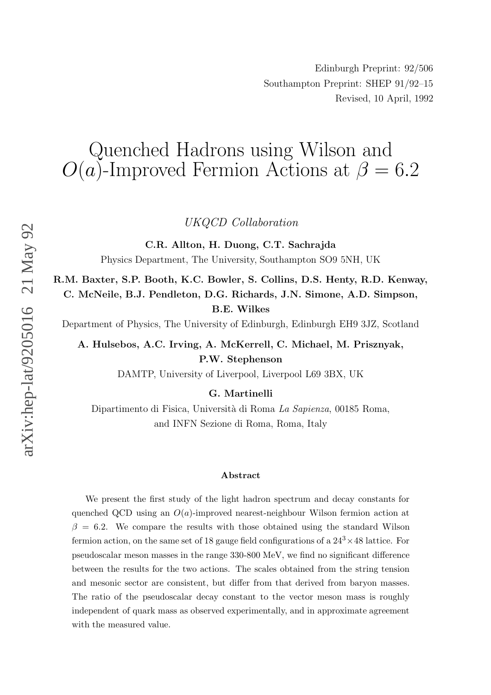## Quenched Hadrons using Wilson and  $O(a)$ -Improved Fermion Actions at  $\beta = 6.2$

UKQCD Collaboration

C.R. Allton, H. Duong, C.T. Sachrajda

Physics Department, The Universit y , Southampton SO9 5NH, UK

R.M. Baxter, S.P. Booth, K.C. Bowler, S. Collins, D.S. Henty, R.D. Kenway, C. McNeile, B.J. Pendleton, D.G. Richards, J.N. Simone, A.D. Simpson, B.E. Wilkes

Departmen t of Physics, The Universit y of Edinburgh, Edinburgh EH9 3JZ, Scotland

A. Hulsebos, A.C. Irving, A. McKerrell, C. Michael, M. Priszn yak, P.W. Stephenson

DAMTP , Universit y of Liverp ool, Liverp ool L69 3BX, UK

G. Martinelli

Dipartimento di Fisica, Università di Roma *La Sapienza*, 00185 Roma, and INFN Sezione di Roma, Roma, Italy

## Abstract

We present the first study of the light hadron spectrum and decay constants for quenched QCD using an  $O(a)$ -improved nearest-neighbour Wilson fermion action at  $\beta = 6.2$ . We compare the results with those obtained using the standard Wilson fermion action, on the same set of 18 gauge field configurations of a  $24^3 \times 48$  lattice. For pseudoscalar meson masses in the range 330-800 MeV, w e find no significan t difference bet ween the results for the t w o actions. The scales obtained from the string tension and mesonic sector are consistent, but differ from that derived from baryon masses. The ratio of the pseudoscalar deca y constan t to the vector meson mass is roughly independen t of quark mass as observed experimentally , and in approximate agreemen t with the measured value.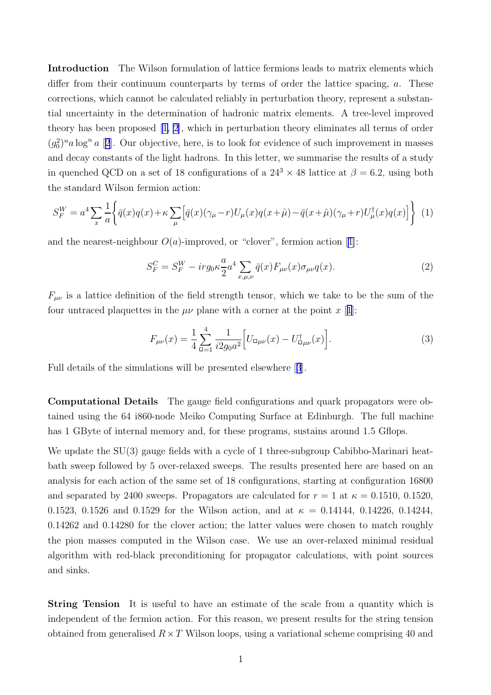Introduction The Wilson formulation of lattice fermions leads to matrix elements which differ from their continuum counterparts by terms of order the lattice spacing, a. These corrections, which cannot be calculated reliably in perturbation theory, represent a substantial uncertainty in the determination of hadronic matrix elements. A tree-level improved theory has been proposed [\[1,](#page-10-0) [2](#page-10-0)], which in perturbation theory eliminates all terms of order  $(g_0^2)^n$  $(g_0^2)^n$  $(g_0^2)^n$ a log<sup>n</sup> a [2]. Our objective, here, is to look for evidence of such improvement in masses and decay constants of the light hadrons. In this letter, we summarise the results of a study in quenched QCD on a set of 18 configurations of a  $24^3 \times 48$  lattice at  $\beta = 6.2$ , using both the standard Wilson fermion action:

$$
S_F^W = a^4 \sum_x \frac{1}{a} \left\{ \bar{q}(x)q(x) + \kappa \sum_{\mu} \left[ \bar{q}(x)(\gamma_{\mu} - r)U_{\mu}(x)q(x + \hat{\mu}) - \bar{q}(x + \hat{\mu})(\gamma_{\mu} + r)U_{\mu}^{\dagger}(x)q(x) \right] \right\} \tag{1}
$$

and the nearest-neighbour  $O(a)$ -improved, or "clover", fermion action [\[1\]](#page-10-0):

$$
S_F^C = S_F^W - ir g_0 \kappa \frac{a}{2} a^4 \sum_{x,\mu,\nu} \bar{q}(x) F_{\mu\nu}(x) \sigma_{\mu\nu} q(x).
$$
 (2)

 $F_{\mu\nu}$  is a lattice definition of the field strength tensor, which we take to be the sum of the four untraced plaquettes in the  $\mu\nu$  plane with a corner at the point x [[1](#page-10-0)]:

$$
F_{\mu\nu}(x) = \frac{1}{4} \sum_{\square=1}^{4} \frac{1}{i2g_0 a^2} \Big[ U_{\square\mu\nu}(x) - U_{\square\mu\nu}^{\dagger}(x) \Big]. \tag{3}
$$

Full details of the simulations will be presented elsewhere [[3](#page-10-0)].

Computational Details The gauge field configurations and quark propagators were obtained using the 64 i860-node Meiko Computing Surface at Edinburgh. The full machine has 1 GByte of internal memory and, for these programs, sustains around 1.5 Gflops.

We update the SU(3) gauge fields with a cycle of 1 three-subgroup Cabibbo-Marinari heatbath sweep followed by 5 over-relaxed sweeps. The results presented here are based on an analysis for each action of the same set of 18 configurations, starting at configuration 16800 and separated by 2400 sweeps. Propagators are calculated for  $r = 1$  at  $\kappa = 0.1510, 0.1520$ , 0.1523, 0.1526 and 0.1529 for the Wilson action, and at  $\kappa = 0.14144$ , 0.14226, 0.14244, 0.14262 and 0.14280 for the clover action; the latter values were chosen to match roughly the pion masses computed in the Wilson case. We use an over-relaxed minimal residual algorithm with red-black preconditioning for propagator calculations, with point sources and sinks.

String Tension It is useful to have an estimate of the scale from a quantity which is independent of the fermion action. For this reason, we present results for the string tension obtained from generalised  $R \times T$  Wilson loops, using a variational scheme comprising 40 and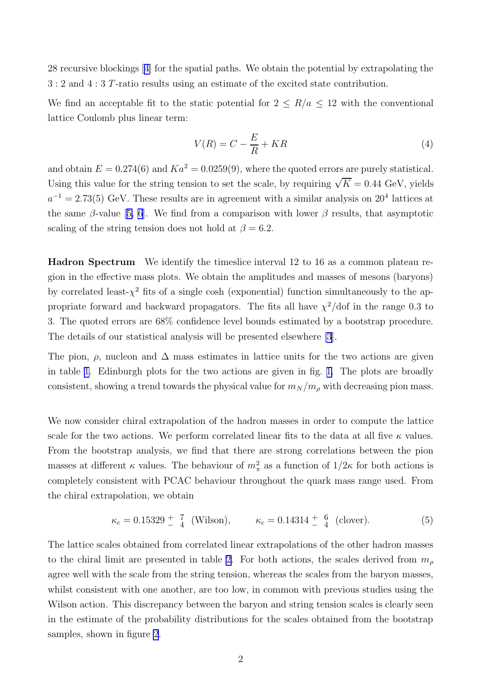28 recursive blockings [\[4\]](#page-10-0) for the spatial paths. We obtain the potential by extrapolating the 3 : 2 and 4 : 3 T-ratio results using an estimate of the excited state contribution.

We find an acceptable fit to the static potential for  $2 \le R/a \le 12$  with the conventional lattice Coulomb plus linear term:

$$
V(R) = C - \frac{E}{R} + KR \tag{4}
$$

and obtain  $E = 0.274(6)$  and  $Ka^2 = 0.0259(9)$ , where the quoted errors are purely statistical. Using this value for the string tension to set the scale, by requiring  $\sqrt{K} = 0.44$  GeV, yields  $a^{-1} = 2.73(5)$  GeV. These results are in agreement with a similar analysis on  $20<sup>4</sup>$  lattices at the same  $\beta$ -value [[5,](#page-11-0) [6\]](#page-11-0). We find from a comparison with lower  $\beta$  results, that asymptotic scaling of the string tension does not hold at  $\beta = 6.2$ .

Hadron Spectrum We identify the timeslice interval 12 to 16 as a common plateau region in the effective mass plots. We obtain the amplitudes and masses of mesons (baryons) by correlated least- $\chi^2$  fits of a single cosh (exponential) function simultaneously to the appropriate forward and backward propagators. The fits all have  $\chi^2/dof$  in the range 0.3 to 3. The quoted errors are 68% confidence level bounds estimated by a bootstrap procedure. The details of our statistical analysis will be presented elsewhere [\[3\]](#page-10-0).

The pion,  $\rho$ , nucleon and  $\Delta$  mass estimates in lattice units for the two actions are given in table [1.](#page-3-0) Edinburgh plots for the two actions are given in fig. [1.](#page-4-0) The plots are broadly consistent, showing a trend towards the physical value for  $m_N / m_\rho$  with decreasing pion mass.

We now consider chiral extrapolation of the hadron masses in order to compute the lattice scale for the two actions. We perform correlated linear fits to the data at all five  $\kappa$  values. From the bootstrap analysis, we find that there are strong correlations between the pion masses at different  $\kappa$  values. The behaviour of  $m_{\pi}^2$  as a function of  $1/2\kappa$  for both actions is completely consistent with PCAC behaviour throughout the quark mass range used. From the chiral extrapolation, we obtain

$$
\kappa_c = 0.15329 \pm \frac{7}{4}
$$
 (Wilson),  $\kappa_c = 0.14314 \pm \frac{6}{4}$  (clover). (5)

The lattice scales obtained from correlated linear extrapolations of the other hadron masses to the chiral limit are presented in table [2.](#page-3-0) For both actions, the scales derived from  $m_{\rho}$ agree well with the scale from the string tension, whereas the scales from the baryon masses, whilst consistent with one another, are too low, in common with previous studies using the Wilson action. This discrepancy between the baryon and string tension scales is clearly seen in the estimate of the probability distributions for the scales obtained from the bootstrap samples, shown in figure [2](#page-5-0).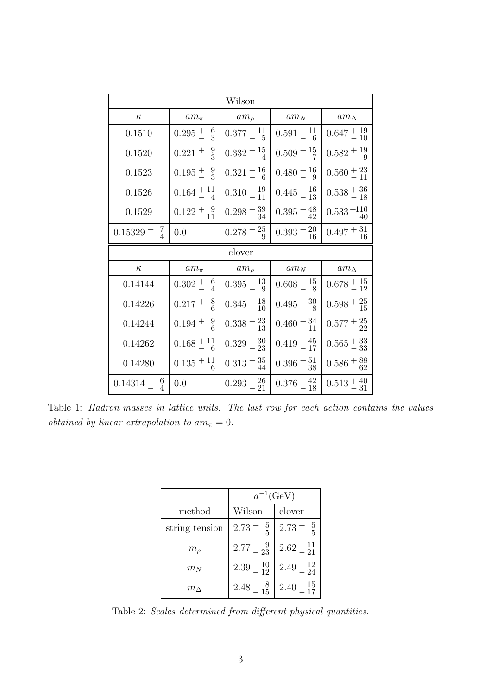<span id="page-3-0"></span>

| Wilson                    |                          |                           |                         |                            |  |
|---------------------------|--------------------------|---------------------------|-------------------------|----------------------------|--|
| $\kappa$                  | $am_\pi$                 | $am_{\rho}$               | $am_N$                  | $am_{\Delta}$              |  |
| 0.1510                    | $0.295\pm\frac{6}{3}$    | $0.377 + 11 \over 5$      | $0.591 + {}^{11}_{-6}$  | $0.647 + 19 \over - 10$    |  |
| 0.1520                    | $0.221 \pm \frac{9}{3}$  | $0.332 \pm \frac{15}{4}$  | $0.509 + {}^{15}_{7}$   | $0.582 + {19 \over 9}$     |  |
| 0.1523                    | $0.195 \pm \frac{9}{3}$  | $0.321 + {16 \over 6}$    | $0.480 + \frac{16}{9}$  | $0.560 + \frac{23}{11}$    |  |
| 0.1526                    | $0.164 + {}^{11}_{-4}$   | $0.310 + \frac{19}{11}$   | $0.445 + {}^{16}_{13}$  | $0.538 + \frac{36}{18}$    |  |
| 0.1529                    | $0.122 \pm \frac{9}{11}$ | $0.298 \pm \frac{39}{34}$ | $0.395 + {}^{48}_{-42}$ | $0.533_{\,-\,40}^{\,+116}$ |  |
| $0.15329 \pm \frac{7}{4}$ | 0.0                      | $0.278 \pm {25 \over 9}$  | $0.393 + \frac{20}{16}$ | $0.497 + 31 \over 16$      |  |
|                           |                          |                           |                         |                            |  |
|                           |                          | clover                    |                         |                            |  |
| $\kappa$                  | $am_\pi$                 | $am_{\rho}$               | $am_N$                  | $am_{\Delta}$              |  |
| 0.14144                   | $0.302 \div 6$           | $0.395 \pm \frac{13}{9}$  | $0.608 + \frac{15}{8}$  | $0.678 + 15 \over 12$      |  |
| 0.14226                   | $0.217 + {8 \over 6}$    | $0.345 \pm {18 \over 10}$ | $0.495 + \frac{30}{8}$  | $0.598 + \frac{25}{15}$    |  |
| 0.14244                   | $0.194\pm^{9}_{-6}$      | $0.338 + \frac{23}{13}$   | $0.460 + \frac{34}{11}$ | $0.577 + \frac{25}{22}$    |  |
| 0.14262                   | $0.168 + {}^{11}_{6}$    | $0.329 \pm \frac{30}{23}$ | $0.419 + \frac{45}{17}$ | $0.565 \pm {33 \over 33}$  |  |
| 0.14280                   | $0.135 + {}^{11}_{6}$    | $0.313 + \frac{35}{44}$   | $0.396 + \frac{51}{38}$ | $0.586 + \frac{88}{62}$    |  |

Table 1: Hadron masses in lattice units. The last row for each action contains the values obtained by linear extrapolation to  $am_{\pi} = 0$ .

|                | $a^{-1}$ (GeV)         |                          |
|----------------|------------------------|--------------------------|
| method         | Wilson                 | clover                   |
| string tension | $2.73 \pm \frac{5}{5}$ | $2.73 \pm \frac{5}{5}$   |
| $m_\rho$       | $2.77 \pm 9.23$        | $2.62 \pm \frac{11}{21}$ |
| $m_N$          | $2.39 \pm 10$          | $2.49 \pm \frac{12}{24}$ |
| $m_{\Delta}$   | $2.48 \pm 0.8$         | $2.40 + \frac{15}{17}$   |

Table 2: Scales determined from different physical quantities.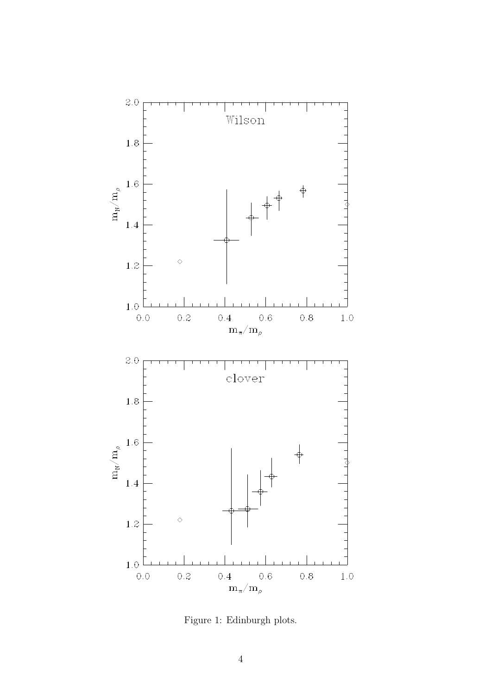<span id="page-4-0"></span>

Figure 1: Edinburgh plots.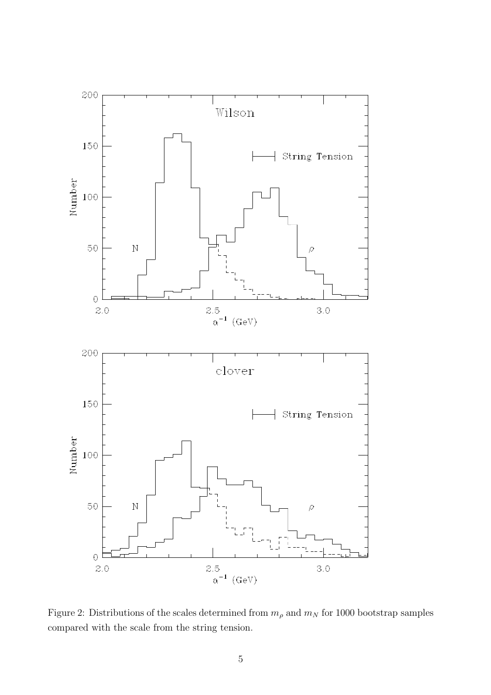<span id="page-5-0"></span>

Figure 2: Distributions of the scales determined from  $m_{\rho}$  and  $m_N$  for 1000 bootstrap samples compared with the scale from the string tension.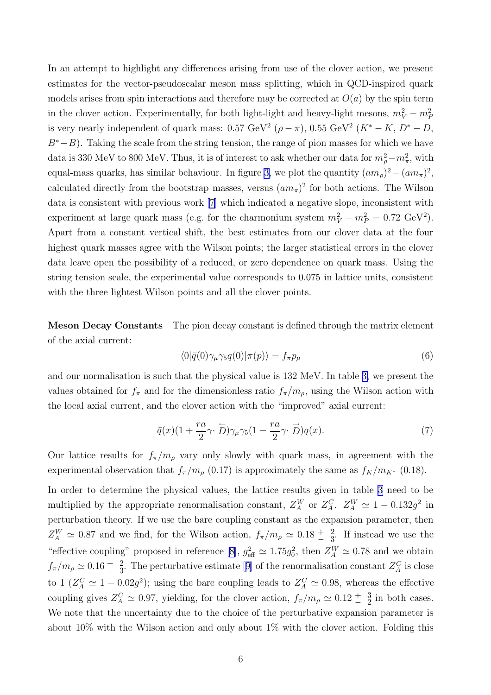In an attempt to highlight any differences arising from use of the clover action, we present estimates for the vector-pseudoscalar meson mass splitting, which in QCD-inspired quark models arises from spin interactions and therefore may be corrected at  $O(a)$  by the spin term in the clover action. Experimentally, for both light-light and heavy-light mesons,  $m_V^2 - m_F^2$ is very nearly independent of quark mass:  $0.57 \text{ GeV}^2$   $(\rho - \pi)$ ,  $0.55 \text{ GeV}^2$   $(K^* - K, D^* - D,$  $B<sup>*</sup>−B$ ). Taking the scale from the string tension, the range of pion masses for which we have data is 330 MeV to 800 MeV. Thus, it is of interest to ask whether our data for  $m_\rho^2 - m_\pi^2$ , with equal-mass quarks, has similar behaviour. In figure [3,](#page-7-0) we plot the quantity  $(am_\rho)^2-(am_\pi)^2$ , calculated directly from the bootstrap masses, versus  $(am_{\pi})^2$  for both actions. The Wilson data is consistent with previous work [\[7\]](#page-11-0) which indicated a negative slope, inconsistent with experiment at large quark mass (e.g. for the charmonium system  $m_V^2 - m_P^2 = 0.72 \text{ GeV}^2$ ). Apart from a constant vertical shift, the best estimates from our clover data at the four highest quark masses agree with the Wilson points; the larger statistical errors in the clover data leave open the possibility of a reduced, or zero dependence on quark mass. Using the string tension scale, the experimental value corresponds to 0.075 in lattice units, consistent with the three lightest Wilson points and all the clover points.

Meson Decay Constants The pion decay constant is defined through the matrix element of the axial current:

$$
\langle 0|\bar{q}(0)\gamma_{\mu}\gamma_{5}q(0)|\pi(p)\rangle = f_{\pi}p_{\mu}
$$
\n(6)

and our normalisation is such that the physical value is 132 MeV. In table [3,](#page-8-0) we present the values obtained for  $f_{\pi}$  and for the dimensionless ratio  $f_{\pi}/m_{\rho}$ , using the Wilson action with the local axial current, and the clover action with the "improved" axial current:

$$
\bar{q}(x)(1+\frac{ra}{2}\gamma\cdot\overleftarrow{D})\gamma_\mu\gamma_5(1-\frac{ra}{2}\gamma\cdot\overrightarrow{D})q(x). \tag{7}
$$

Our lattice results for  $f_{\pi}/m_{\rho}$  vary only slowly with quark mass, in agreement with the experimental observation that  $f_{\pi}/m_{\rho}$  (0.17) is approximately the same as  $f_K/m_{K^*}$  (0.18).

In order to determine the physical values, the lattice results given in table [3](#page-8-0) need to be multiplied by the appropriate renormalisation constant,  $Z_A^W$  or  $Z_A^C$ .  $Z_A^W \simeq 1 - 0.132g^2$  in perturbation theory. If we use the bare coupling constant as the expansion parameter, then  $Z_A^W \simeq 0.87$  and we find, for the Wilson action,  $f_\pi/m_\rho \simeq 0.18 \frac{+}{-} \frac{2}{3}$ . If instead we use the "effective coupling" proposed in reference [\[8\]](#page-11-0),  $g_{\text{eff}}^2 \simeq 1.75g_0^2$ , then  $Z_A^W \simeq 0.78$  and we obtain  $f_{\pi}/m_{\rho} \simeq 0.16 \pm \frac{2}{3}$ . The perturbative estimate [[9](#page-11-0)] of the renormalisation constant  $Z_A^C$  is close to  $1 (Z_A^C \simeq 1 - 0.02g^2)$ ; using the bare coupling leads to  $Z_A^C \simeq 0.98$ , whereas the effective coupling gives  $Z_A^C \simeq 0.97$ , yielding, for the clover action,  $f_{\pi}/m_{\rho} \simeq 0.12 \pm \frac{3}{2}$  in both cases. We note that the uncertainty due to the choice of the perturbative expansion parameter is about 10% with the Wilson action and only about  $1\%$  with the clover action. Folding this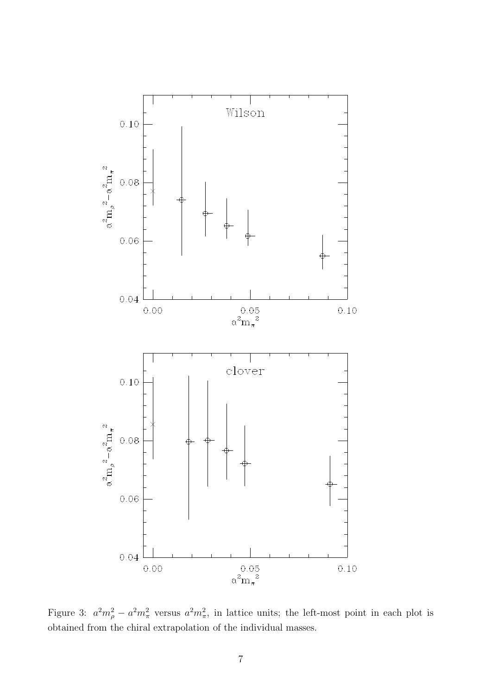<span id="page-7-0"></span>

Figure 3:  $a^2m_\rho^2 - a^2m_\pi^2$  versus  $a^2m_\pi^2$ , in lattice units; the left-most point in each plot is obtained from the chiral extrapolation of the individual masses.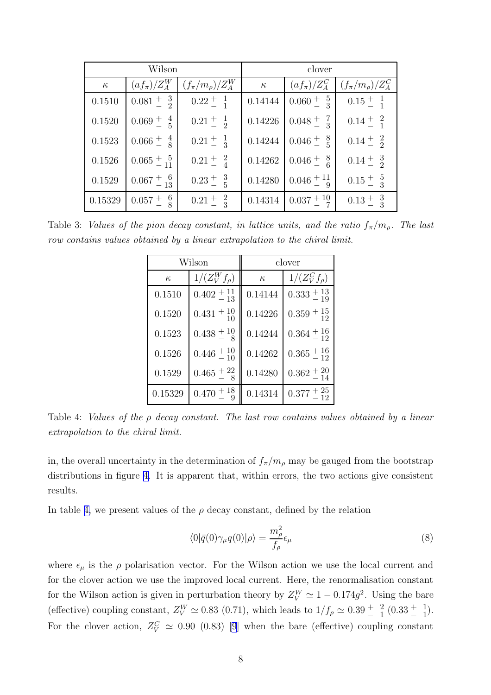<span id="page-8-0"></span>

| Wilson   |                          | clover                                   |          |                                                   |                                     |
|----------|--------------------------|------------------------------------------|----------|---------------------------------------------------|-------------------------------------|
| $\kappa$ |                          | $(a f_\pi)/Z^W_A$ $(f_\pi/m_\rho)/Z^W_A$ | $\kappa$ | $\left( af_{\pi} \right) / Z_A^C$                 | $\int (f_{\pi}/m_{\rho})/Z^{C}_{A}$ |
| 0.1510   | $0.081 \pm \frac{3}{2}$  | $0.22 \pm \frac{1}{1}$                   |          | $\vert 0.14144 \vert 0.060 \pm \frac{5}{3} \vert$ | $0.15 \pm \frac{1}{1}$              |
| 0.1520   | $0.069 \frac{+}{5}$      | $0.21 \pm \frac{1}{2}$                   | 0.14226  | $0.048 \pm \frac{7}{3}$                           | $0.14 \pm \frac{2}{1}$              |
| 0.1523   | $0.066 \div \frac{4}{8}$ | $0.21 \pm \frac{1}{3}$                   |          | $\vert 0.14244 \vert 0.046 \pm \frac{8}{5}$       | $0.14 \pm \frac{2}{2}$              |
| 0.1526   | $0.065 \pm \frac{5}{11}$ | $0.21 \pm \frac{2}{4}$                   |          | $\vert 0.14262 \vert 0.046 \pm \frac{8}{6}$       | $0.14 \pm \frac{3}{2}$              |
| 0.1529   | $0.067 + {6 \over 13}$   | $0.23 \frac{+}{-} 3$                     |          | $0.14280 \Big  0.046 \pm \frac{11}{9}$            | $0.15 \pm \frac{5}{3}$              |
| 0.15329  | - 6<br>$0.057 +$         | $0.21 \pm \frac{2}{3}$                   |          | $\vert 0.14314 \vert 0.037 + \frac{10}{7}$        | $0.13 \pm \frac{3}{3}$              |

Table 3: Values of the pion decay constant, in lattice units, and the ratio  $f_{\pi}/m_{\rho}$ . The last row contains values obtained by a linear extrapolation to the chiral limit.

| Wilson   |                        | clover   |                         |  |
|----------|------------------------|----------|-------------------------|--|
| $\kappa$ | $1/(Z_V^W f_\rho)$     | $\kappa$ | $1/(Z_V^C f_\rho)$      |  |
| 0.1510   | $0.402 + 11 \over 13$  | 0.14144  | $0.333 + \frac{13}{19}$ |  |
| 0.1520   | $0.431 + {}^{10}_{10}$ | 0.14226  | $0.359 + \frac{15}{12}$ |  |
| 0.1523   | $0.438 + {}^{10}_{-8}$ | 0.14244  | $0.364 + {16 \over 12}$ |  |
| 0.1526   | $0.446 + {}^{10}_{10}$ | 0.14262  | $0.365 + \frac{16}{12}$ |  |
| 0.1529   | $0.465 + \frac{22}{8}$ | 0.14280  | $0.362 + \frac{20}{14}$ |  |
| 0.15329  | $0.470 + {}^{18}_{-}$  | 0.14314  | $0.377 + \frac{25}{12}$ |  |

Table 4: Values of the  $\rho$  decay constant. The last row contains values obtained by a linear extrapolation to the chiral limit.

in, the overall uncertainty in the determination of  $f_{\pi}/m_{\rho}$  may be gauged from the bootstrap distributions in figure [4.](#page-9-0) It is apparent that, within errors, the two actions give consistent results.

In table 4, we present values of the  $\rho$  decay constant, defined by the relation

$$
\langle 0|\bar{q}(0)\gamma_{\mu}q(0)|\rho\rangle = \frac{m_{\rho}^{2}}{f_{\rho}}\epsilon_{\mu}
$$
\n(8)

where  $\epsilon_{\mu}$  is the  $\rho$  polarisation vector. For the Wilson action we use the local current and for the clover action we use the improved local current. Here, the renormalisation constant for the Wilson action is given in perturbation theory by  $Z_V^W \simeq 1 - 0.174g^2$ . Using the bare (effective) coupling constant,  $Z_V^W \simeq 0.83$  (0.71), which leads to  $1/f_\rho \simeq 0.39 \frac{+}{\pi} \frac{2}{1} (0.33 \frac{+}{\pi} \frac{1}{1})$ . For the clover action,  $Z_V^C \simeq 0.90$  (0.83) [\[9\]](#page-11-0) when the bare (effective) coupling constant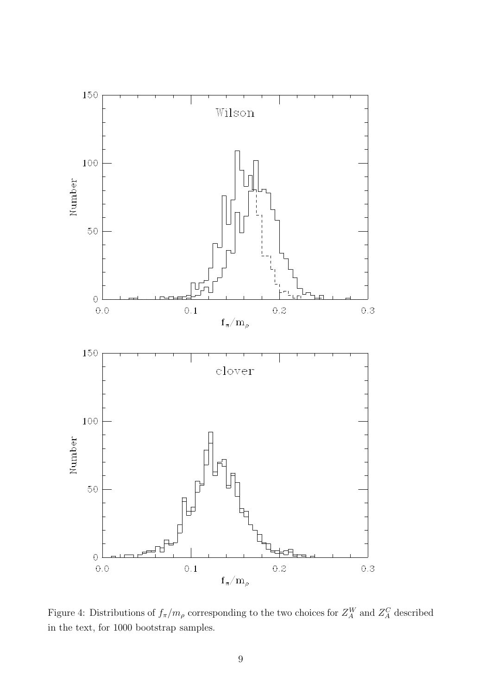<span id="page-9-0"></span>

Figure 4: Distributions of  $f_{\pi}/m_{\rho}$  corresponding to the two choices for  $Z_A^W$  and  $Z_A^C$  described in the text, for 1000 bootstrap samples.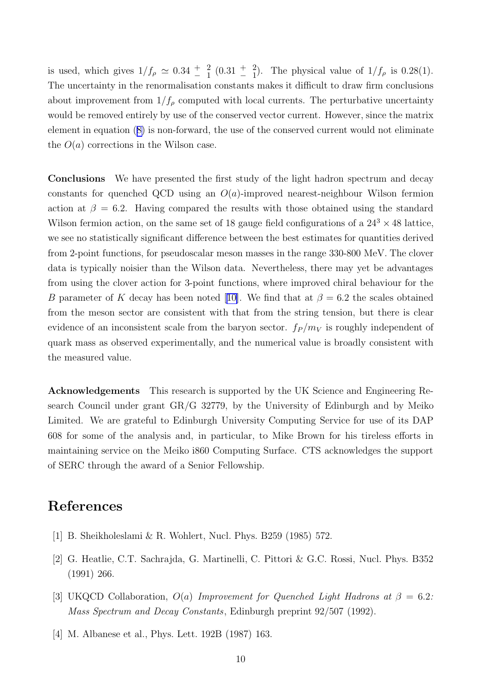<span id="page-10-0"></span>is used, which gives  $1/f_\rho \simeq 0.34 + \frac{2}{1} (0.31 + \frac{2}{1})$ . The physical value of  $1/f_\rho$  is 0.28(1). The uncertainty in the renormalisation constants makes it difficult to draw firm conclusions about improvement from  $1/f_\rho$  computed with local currents. The perturbative uncertainty would be removed entirely by use of the conserved vector current. However, since the matrix element in equation ([8\)](#page-8-0) is non-forward, the use of the conserved current would not eliminate the  $O(a)$  corrections in the Wilson case.

Conclusions We have presented the first study of the light hadron spectrum and decay constants for quenched QCD using an  $O(a)$ -improved nearest-neighbour Wilson fermion action at  $\beta = 6.2$ . Having compared the results with those obtained using the standard Wilson fermion action, on the same set of 18 gauge field configurations of a  $24^3 \times 48$  lattice, we see no statistically significant difference between the best estimates for quantities derived from 2-point functions, for pseudoscalar meson masses in the range 330-800 MeV. The clover data is typically noisier than the Wilson data. Nevertheless, there may yet be advantages from using the clover action for 3-point functions, where improved chiral behaviour for the B parameter of K decay has been noted [[10\]](#page-11-0). We find that at  $\beta = 6.2$  the scales obtained from the meson sector are consistent with that from the string tension, but there is clear evidence of an inconsistent scale from the baryon sector.  $f_P / m_V$  is roughly independent of quark mass as observed experimentally, and the numerical value is broadly consistent with the measured value.

Acknowledgements This research is supported by the UK Science and Engineering Research Council under grant GR/G 32779, by the University of Edinburgh and by Meiko Limited. We are grateful to Edinburgh University Computing Service for use of its DAP 608 for some of the analysis and, in particular, to Mike Brown for his tireless efforts in maintaining service on the Meiko i860 Computing Surface. CTS acknowledges the support of SERC through the award of a Senior Fellowship.

## References

- [1] B. Sheikholeslami & R. Wohlert, Nucl. Phys. B259 (1985) 572.
- [2] G. Heatlie, C.T. Sachrajda, G. Martinelli, C. Pittori & G.C. Rossi, Nucl. Phys. B352 (1991) 266.
- [3] UKQCD Collaboration,  $O(a)$  Improvement for Quenched Light Hadrons at  $\beta = 6.2$ : Mass Spectrum and Decay Constants, Edinburgh preprint 92/507 (1992).
- [4] M. Albanese et al., Phys. Lett. 192B (1987) 163.